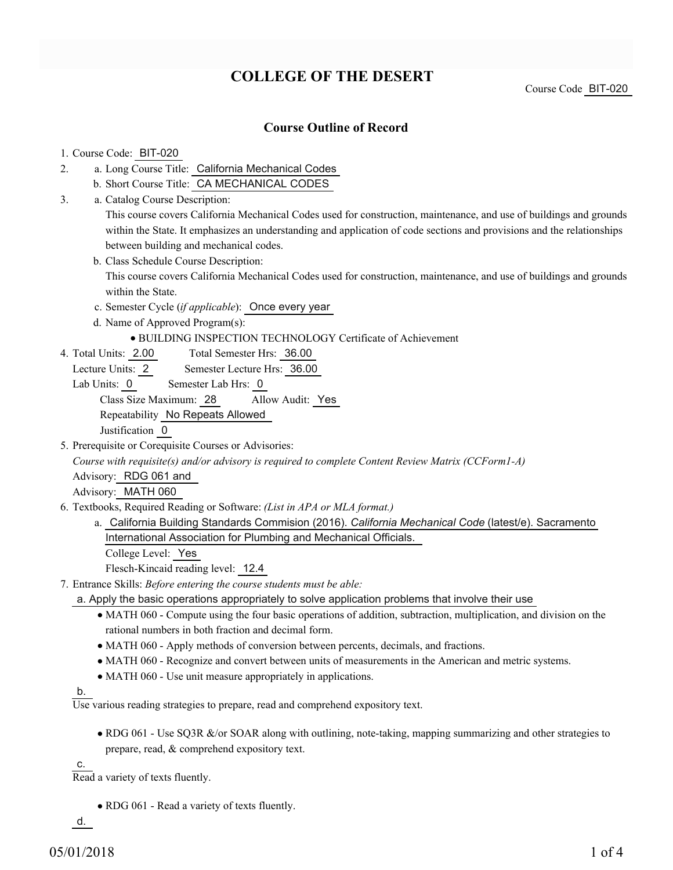# **COLLEGE OF THE DESERT**

Course Code BIT-020

### **Course Outline of Record**

#### 1. Course Code: BIT-020

- a. Long Course Title: California Mechanical Codes 2.
	- b. Short Course Title: CA MECHANICAL CODES
- Catalog Course Description: a. 3.

This course covers California Mechanical Codes used for construction, maintenance, and use of buildings and grounds within the State. It emphasizes an understanding and application of code sections and provisions and the relationships between building and mechanical codes.

b. Class Schedule Course Description:

This course covers California Mechanical Codes used for construction, maintenance, and use of buildings and grounds within the State.

- c. Semester Cycle (*if applicable*): Once every year
- d. Name of Approved Program(s):
	- BUILDING INSPECTION TECHNOLOGY Certificate of Achievement
- Total Semester Hrs: 36.00 4. Total Units: 2.00
	- Lecture Units: 2 Semester Lecture Hrs: 36.00
	- Lab Units: 0 Semester Lab Hrs: 0

Class Size Maximum: 28 Allow Audit: Yes

Repeatability No Repeats Allowed

Justification 0

5. Prerequisite or Corequisite Courses or Advisories:

*Course with requisite(s) and/or advisory is required to complete Content Review Matrix (CCForm1-A)*

Advisory: RDG 061 and

Advisory: MATH 060

- Textbooks, Required Reading or Software: *(List in APA or MLA format.)* 6.
	- a. California Building Standards Commision (2016). *California Mechanical Code* (latest/e). Sacramento International Association for Plumbing and Mechanical Officials.

College Level: Yes

Flesch-Kincaid reading level: 12.4

- Entrance Skills: *Before entering the course students must be able:* 7.
	- a. Apply the basic operations appropriately to solve application problems that involve their use
		- MATH 060 Compute using the four basic operations of addition, subtraction, multiplication, and division on the rational numbers in both fraction and decimal form.
		- MATH 060 Apply methods of conversion between percents, decimals, and fractions.
		- MATH 060 Recognize and convert between units of measurements in the American and metric systems.
		- MATH 060 Use unit measure appropriately in applications.

b.

Use various reading strategies to prepare, read and comprehend expository text.

• RDG 061 - Use SQ3R &/or SOAR along with outlining, note-taking, mapping summarizing and other strategies to prepare, read, & comprehend expository text.

c.

Read a variety of texts fluently.

• RDG 061 - Read a variety of texts fluently.

d.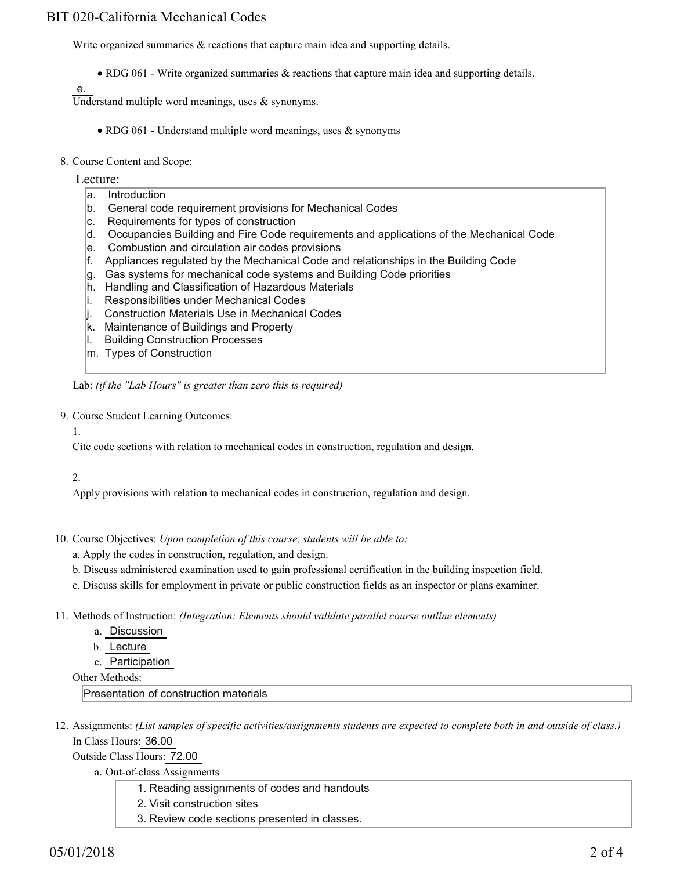# BIT 020-California Mechanical Codes

Write organized summaries  $\&$  reactions that capture main idea and supporting details.

RDG 061 - Write organized summaries & reactions that capture main idea and supporting details.

e.

Understand multiple word meanings, uses  $\&$  synonyms.

- RDG 061 Understand multiple word meanings, uses  $\&$  synonyms
- 8. Course Content and Scope:
	- Lecture:
		- a. Introduction
		- b. General code requirement provisions for Mechanical Codes
		- c. Requirements for types of construction
		- d. Occupancies Building and Fire Code requirements and applications of the Mechanical Code
		- e. Combustion and circulation air codes provisions
		- f. Appliances regulated by the Mechanical Code and relationships in the Building Code
		- $|q|$ . Gas systems for mechanical code systems and Building Code priorities
		- h. Handling and Classification of Hazardous Materials
		- i. Responsibilities under Mechanical Codes
		- j. Construction Materials Use in Mechanical Codes
		- k. Maintenance of Buildings and Property
		- l. Building Construction Processes
		- m. Types of Construction

Lab: *(if the "Lab Hours" is greater than zero this is required)*

9. Course Student Learning Outcomes:

1.

Cite code sections with relation to mechanical codes in construction, regulation and design.

2.

Apply provisions with relation to mechanical codes in construction, regulation and design.

- 10. Course Objectives: Upon completion of this course, students will be able to:
	- a. Apply the codes in construction, regulation, and design.
	- b. Discuss administered examination used to gain professional certification in the building inspection field.
	- c. Discuss skills for employment in private or public construction fields as an inspector or plans examiner.
- Methods of Instruction: *(Integration: Elements should validate parallel course outline elements)* 11.
	- a. Discussion
	- b. Lecture
	- c. Participation

Other Methods:

Presentation of construction materials

12. Assignments: (List samples of specific activities/assignments students are expected to complete both in and outside of class.) In Class Hours: 36.00

Outside Class Hours: 72.00

- a. Out-of-class Assignments
	- 1. Reading assignments of codes and handouts
	- 2. Visit construction sites
	- 3. Review code sections presented in classes.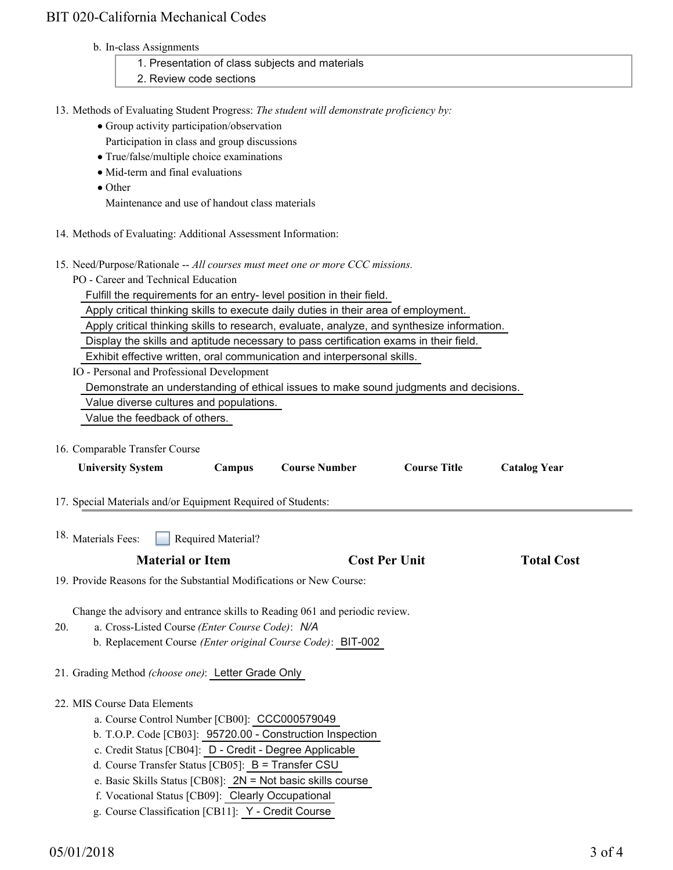# BIT 020-California Mechanical Codes

b. In-class Assignments

| 1. Presentation of class subjects and materials                                          |
|------------------------------------------------------------------------------------------|
| 2. Review code sections                                                                  |
|                                                                                          |
| 13. Methods of Evaluating Student Progress: The student will demonstrate proficiency by: |

- Group activity participation/observation
- Participation in class and group discussions
- True/false/multiple choice examinations
- Mid-term and final evaluations
- Other

Maintenance and use of handout class materials

- 14. Methods of Evaluating: Additional Assessment Information:
- 15. Need/Purpose/Rationale -- All courses must meet one or more CCC missions.
	- PO Career and Technical Education

Fulfill the requirements for an entry- level position in their field.

Apply critical thinking skills to execute daily duties in their area of employment.

Apply critical thinking skills to research, evaluate, analyze, and synthesize information.

Display the skills and aptitude necessary to pass certification exams in their field.

Exhibit effective written, oral communication and interpersonal skills.

IO - Personal and Professional Development

Demonstrate an understanding of ethical issues to make sound judgments and decisions.

Value diverse cultures and populations.

Value the feedback of others.

16. Comparable Transfer Course

| <b>University System</b>                                                                                                                                                                    | Campus             | <b>Course Number</b>                                        | <b>Course Title</b>  | <b>Catalog Year</b> |  |
|---------------------------------------------------------------------------------------------------------------------------------------------------------------------------------------------|--------------------|-------------------------------------------------------------|----------------------|---------------------|--|
| 17. Special Materials and/or Equipment Required of Students:                                                                                                                                |                    |                                                             |                      |                     |  |
| 18. Materials Fees:                                                                                                                                                                         | Required Material? |                                                             |                      |                     |  |
| <b>Material or Item</b>                                                                                                                                                                     |                    |                                                             | <b>Cost Per Unit</b> | <b>Total Cost</b>   |  |
| 19. Provide Reasons for the Substantial Modifications or New Course:                                                                                                                        |                    |                                                             |                      |                     |  |
| Change the advisory and entrance skills to Reading 061 and periodic review.<br>a. Cross-Listed Course (Enter Course Code): N/A<br>20.<br>21. Grading Method (choose one): Letter Grade Only |                    | b. Replacement Course (Enter original Course Code): BIT-002 |                      |                     |  |
| 22. MIS Course Data Elements                                                                                                                                                                |                    |                                                             |                      |                     |  |
| a. Course Control Number [CB00]: CCC000579049                                                                                                                                               |                    |                                                             |                      |                     |  |
|                                                                                                                                                                                             |                    | b. T.O.P. Code [CB03]: 95720.00 - Construction Inspection   |                      |                     |  |
| c. Credit Status [CB04]: D - Credit - Degree Applicable                                                                                                                                     |                    |                                                             |                      |                     |  |
| d. Course Transfer Status [CB05]: $B =$ Transfer CSU                                                                                                                                        |                    |                                                             |                      |                     |  |
|                                                                                                                                                                                             |                    | e. Basic Skills Status [CB08]: 2N = Not basic skills course |                      |                     |  |
| f. Vocational Status [CB09]: Clearly Occupational                                                                                                                                           |                    |                                                             |                      |                     |  |
| g. Course Classification [CB11]: Y - Credit Course                                                                                                                                          |                    |                                                             |                      |                     |  |